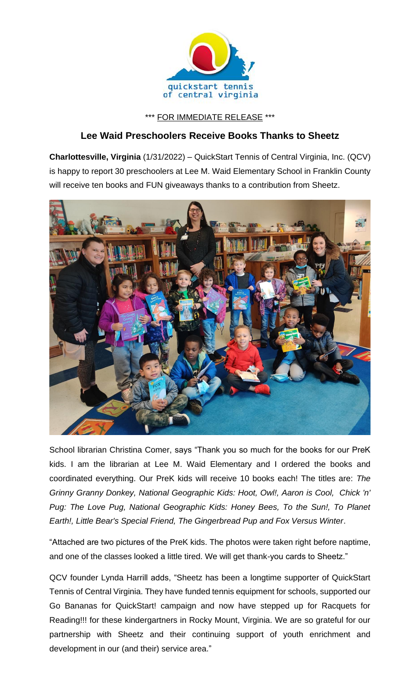

## \*\*\* FOR IMMEDIATE RELEASE \*\*\*

## **Lee Waid Preschoolers Receive Books Thanks to Sheetz**

**Charlottesville, Virginia** (1/31/2022) – QuickStart Tennis of Central Virginia, Inc. (QCV) is happy to report 30 preschoolers at Lee M. Waid Elementary School in Franklin County will receive ten books and FUN giveaways thanks to a contribution from Sheetz.



School librarian Christina Comer, says "Thank you so much for the books for our PreK kids. I am the librarian at Lee M. Waid Elementary and I ordered the books and coordinated everything. Our PreK kids will receive 10 books each! The titles are: *The Grinny Granny Donkey, National Geographic Kids: Hoot, Owl!, Aaron is Cool, Chick 'n'*  Pug: The Love Pug, National Geographic Kids: Honey Bees, To the Sun!, To Planet *Earth!, Little Bear's Special Friend, The Gingerbread Pup and Fox Versus Winter*.

"Attached are two pictures of the PreK kids. The photos were taken right before naptime, and one of the classes looked a little tired. We will get thank-you cards to Sheetz."

QCV founder Lynda Harrill adds, "Sheetz has been a longtime supporter of QuickStart Tennis of Central Virginia. They have funded tennis equipment for schools, supported our Go Bananas for QuickStart! campaign and now have stepped up for Racquets for Reading!!! for these kindergartners in Rocky Mount, Virginia. We are so grateful for our partnership with Sheetz and their continuing support of youth enrichment and development in our (and their) service area."